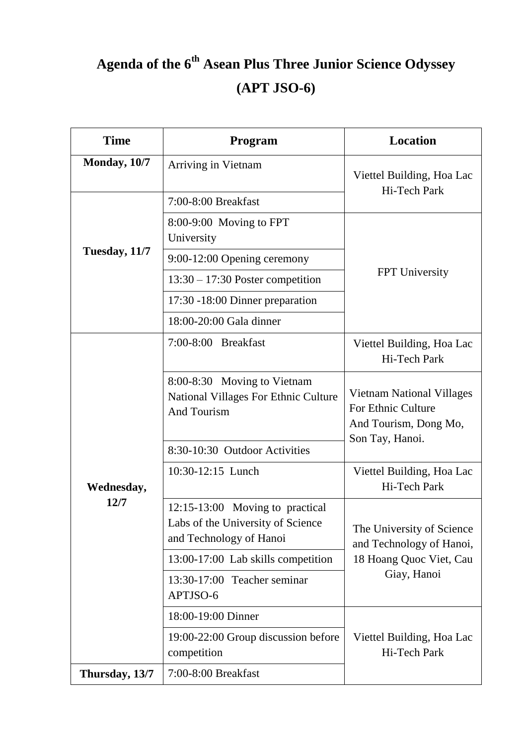## **Agenda of the 6 th Asean Plus Three Junior Science Odyssey (APT JSO-6)**

| <b>Time</b>        | Program                                                                                         | <b>Location</b>                                                                                 |
|--------------------|-------------------------------------------------------------------------------------------------|-------------------------------------------------------------------------------------------------|
| Monday, 10/7       | Arriving in Vietnam                                                                             | Viettel Building, Hoa Lac<br>Hi-Tech Park                                                       |
| Tuesday, 11/7      | 7:00-8:00 Breakfast                                                                             |                                                                                                 |
|                    | 8:00-9:00 Moving to FPT<br>University                                                           | <b>FPT</b> University                                                                           |
|                    | 9:00-12:00 Opening ceremony                                                                     |                                                                                                 |
|                    | $13:30 - 17:30$ Poster competition                                                              |                                                                                                 |
|                    | 17:30 -18:00 Dinner preparation                                                                 |                                                                                                 |
|                    | 18:00-20:00 Gala dinner                                                                         |                                                                                                 |
| Wednesday,<br>12/7 | 7:00-8:00 Breakfast                                                                             | Viettel Building, Hoa Lac<br>Hi-Tech Park                                                       |
|                    | 8:00-8:30 Moving to Vietnam<br>National Villages For Ethnic Culture<br>And Tourism              | Vietnam National Villages<br>For Ethnic Culture<br>And Tourism, Dong Mo,<br>Son Tay, Hanoi.     |
|                    | 8:30-10:30 Outdoor Activities                                                                   |                                                                                                 |
|                    | 10:30-12:15 Lunch                                                                               | Viettel Building, Hoa Lac<br>Hi-Tech Park                                                       |
|                    | 12:15-13:00 Moving to practical<br>Labs of the University of Science<br>and Technology of Hanoi | The University of Science<br>and Technology of Hanoi,<br>18 Hoang Quoc Viet, Cau<br>Giay, Hanoi |
|                    | 13:00-17:00 Lab skills competition                                                              |                                                                                                 |
|                    | 13:30-17:00 Teacher seminar<br>APTJSO-6                                                         |                                                                                                 |
|                    | 18:00-19:00 Dinner                                                                              | Viettel Building, Hoa Lac<br>Hi-Tech Park                                                       |
|                    | 19:00-22:00 Group discussion before<br>competition                                              |                                                                                                 |
| Thursday, 13/7     | 7:00-8:00 Breakfast                                                                             |                                                                                                 |